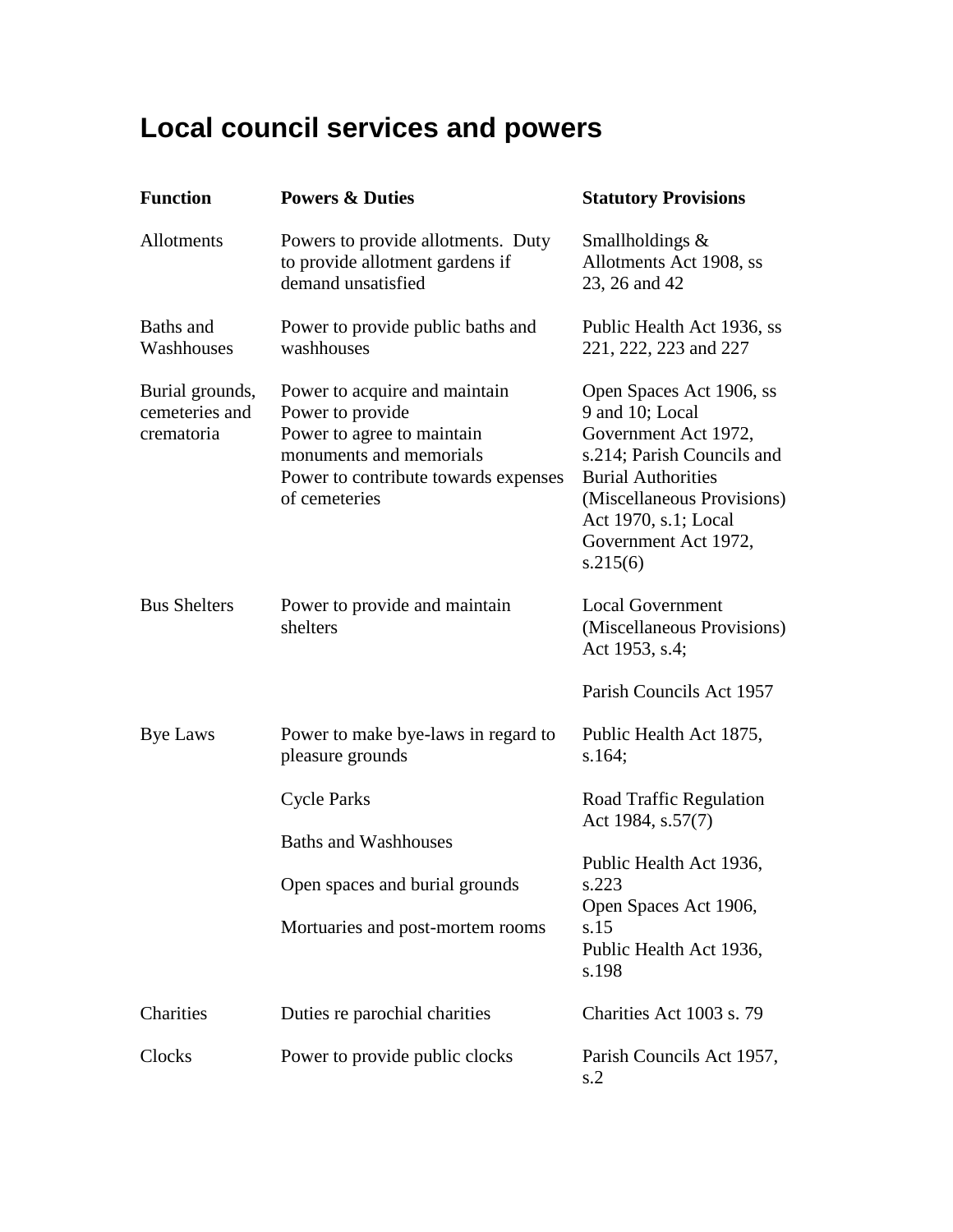## **Local council services and powers**

| <b>Function</b>                                 | <b>Powers &amp; Duties</b>                                                                                                                                          | <b>Statutory Provisions</b>                                                                                                                                                                                              |
|-------------------------------------------------|---------------------------------------------------------------------------------------------------------------------------------------------------------------------|--------------------------------------------------------------------------------------------------------------------------------------------------------------------------------------------------------------------------|
| Allotments                                      | Powers to provide allotments. Duty<br>to provide allotment gardens if<br>demand unsatisfied                                                                         | Smallholdings &<br>Allotments Act 1908, ss<br>23, 26 and 42                                                                                                                                                              |
| Baths and<br>Washhouses                         | Power to provide public baths and<br>washhouses                                                                                                                     | Public Health Act 1936, ss<br>221, 222, 223 and 227                                                                                                                                                                      |
| Burial grounds,<br>cemeteries and<br>crematoria | Power to acquire and maintain<br>Power to provide<br>Power to agree to maintain<br>monuments and memorials<br>Power to contribute towards expenses<br>of cemeteries | Open Spaces Act 1906, ss<br>9 and 10; Local<br>Government Act 1972,<br>s.214; Parish Councils and<br><b>Burial Authorities</b><br>(Miscellaneous Provisions)<br>Act 1970, s.1; Local<br>Government Act 1972,<br>s.215(6) |
| <b>Bus Shelters</b>                             | Power to provide and maintain<br>shelters                                                                                                                           | <b>Local Government</b><br>(Miscellaneous Provisions)<br>Act 1953, s.4;                                                                                                                                                  |
|                                                 |                                                                                                                                                                     | Parish Councils Act 1957                                                                                                                                                                                                 |
| <b>Bye Laws</b>                                 | Power to make bye-laws in regard to<br>pleasure grounds                                                                                                             | Public Health Act 1875,<br>s.164;                                                                                                                                                                                        |
|                                                 | <b>Cycle Parks</b>                                                                                                                                                  | Road Traffic Regulation<br>Act 1984, s.57(7)                                                                                                                                                                             |
|                                                 | <b>Baths and Washhouses</b>                                                                                                                                         |                                                                                                                                                                                                                          |
|                                                 | Open spaces and burial grounds                                                                                                                                      | Public Health Act 1936,<br>s.223                                                                                                                                                                                         |
|                                                 | Mortuaries and post-mortem rooms                                                                                                                                    | Open Spaces Act 1906,<br>s.15<br>Public Health Act 1936,<br>s.198                                                                                                                                                        |
| Charities                                       | Duties re parochial charities                                                                                                                                       | Charities Act 1003 s. 79                                                                                                                                                                                                 |
| Clocks                                          | Power to provide public clocks                                                                                                                                      | Parish Councils Act 1957,<br>s.2                                                                                                                                                                                         |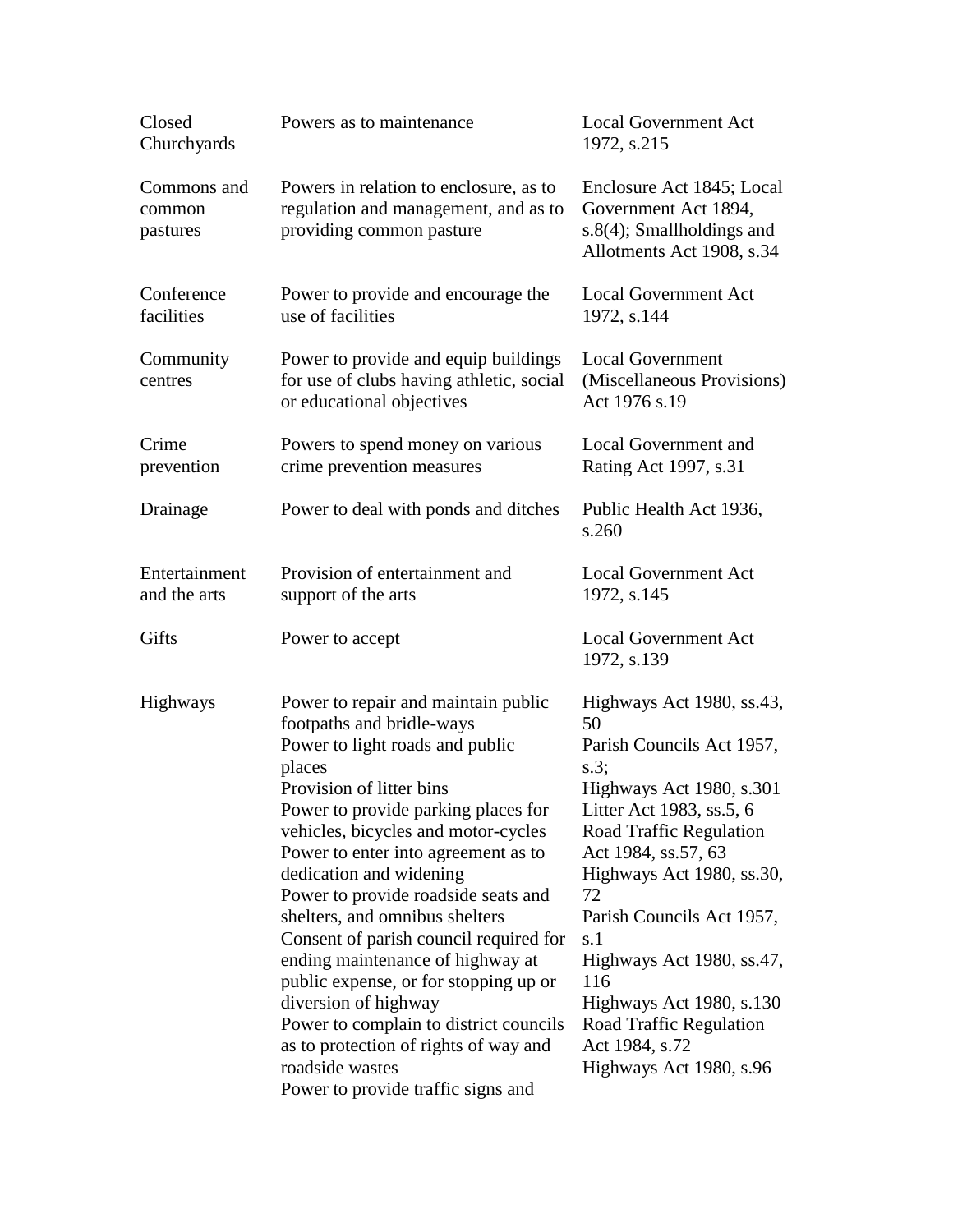| Closed<br>Churchyards             | Powers as to maintenance                                                                                                                                                                                                                                                                                                                                                                                                                                                                                                                                                                                                                                      | <b>Local Government Act</b><br>1972, s.215                                                                                                                                                                                                                                                                                                                                                   |
|-----------------------------------|---------------------------------------------------------------------------------------------------------------------------------------------------------------------------------------------------------------------------------------------------------------------------------------------------------------------------------------------------------------------------------------------------------------------------------------------------------------------------------------------------------------------------------------------------------------------------------------------------------------------------------------------------------------|----------------------------------------------------------------------------------------------------------------------------------------------------------------------------------------------------------------------------------------------------------------------------------------------------------------------------------------------------------------------------------------------|
| Commons and<br>common<br>pastures | Powers in relation to enclosure, as to<br>regulation and management, and as to<br>providing common pasture                                                                                                                                                                                                                                                                                                                                                                                                                                                                                                                                                    | Enclosure Act 1845; Local<br>Government Act 1894,<br>$s.8(4)$ ; Smallholdings and<br>Allotments Act 1908, s.34                                                                                                                                                                                                                                                                               |
| Conference<br>facilities          | Power to provide and encourage the<br>use of facilities                                                                                                                                                                                                                                                                                                                                                                                                                                                                                                                                                                                                       | <b>Local Government Act</b><br>1972, s.144                                                                                                                                                                                                                                                                                                                                                   |
| Community<br>centres              | Power to provide and equip buildings<br>for use of clubs having athletic, social<br>or educational objectives                                                                                                                                                                                                                                                                                                                                                                                                                                                                                                                                                 | <b>Local Government</b><br>(Miscellaneous Provisions)<br>Act 1976 s.19                                                                                                                                                                                                                                                                                                                       |
| Crime<br>prevention               | Powers to spend money on various<br>crime prevention measures                                                                                                                                                                                                                                                                                                                                                                                                                                                                                                                                                                                                 | <b>Local Government and</b><br>Rating Act 1997, s.31                                                                                                                                                                                                                                                                                                                                         |
| Drainage                          | Power to deal with ponds and ditches                                                                                                                                                                                                                                                                                                                                                                                                                                                                                                                                                                                                                          | Public Health Act 1936,<br>s.260                                                                                                                                                                                                                                                                                                                                                             |
| Entertainment<br>and the arts     | Provision of entertainment and<br>support of the arts                                                                                                                                                                                                                                                                                                                                                                                                                                                                                                                                                                                                         | <b>Local Government Act</b><br>1972, s.145                                                                                                                                                                                                                                                                                                                                                   |
| Gifts                             | Power to accept                                                                                                                                                                                                                                                                                                                                                                                                                                                                                                                                                                                                                                               | <b>Local Government Act</b><br>1972, s.139                                                                                                                                                                                                                                                                                                                                                   |
| <b>Highways</b>                   | Power to repair and maintain public<br>footpaths and bridle-ways<br>Power to light roads and public<br>places<br>Provision of litter bins<br>Power to provide parking places for<br>vehicles, bicycles and motor-cycles<br>Power to enter into agreement as to<br>dedication and widening<br>Power to provide roadside seats and<br>shelters, and omnibus shelters<br>Consent of parish council required for<br>ending maintenance of highway at<br>public expense, or for stopping up or<br>diversion of highway<br>Power to complain to district councils<br>as to protection of rights of way and<br>roadside wastes<br>Power to provide traffic signs and | Highways Act 1980, ss.43,<br>50<br>Parish Councils Act 1957,<br>s.3<br>Highways Act 1980, s.301<br>Litter Act 1983, ss.5, 6<br>Road Traffic Regulation<br>Act 1984, ss.57, 63<br>Highways Act 1980, ss.30,<br>72<br>Parish Councils Act 1957,<br>s.1<br>Highways Act 1980, ss.47,<br>116<br>Highways Act 1980, s.130<br>Road Traffic Regulation<br>Act 1984, s.72<br>Highways Act 1980, s.96 |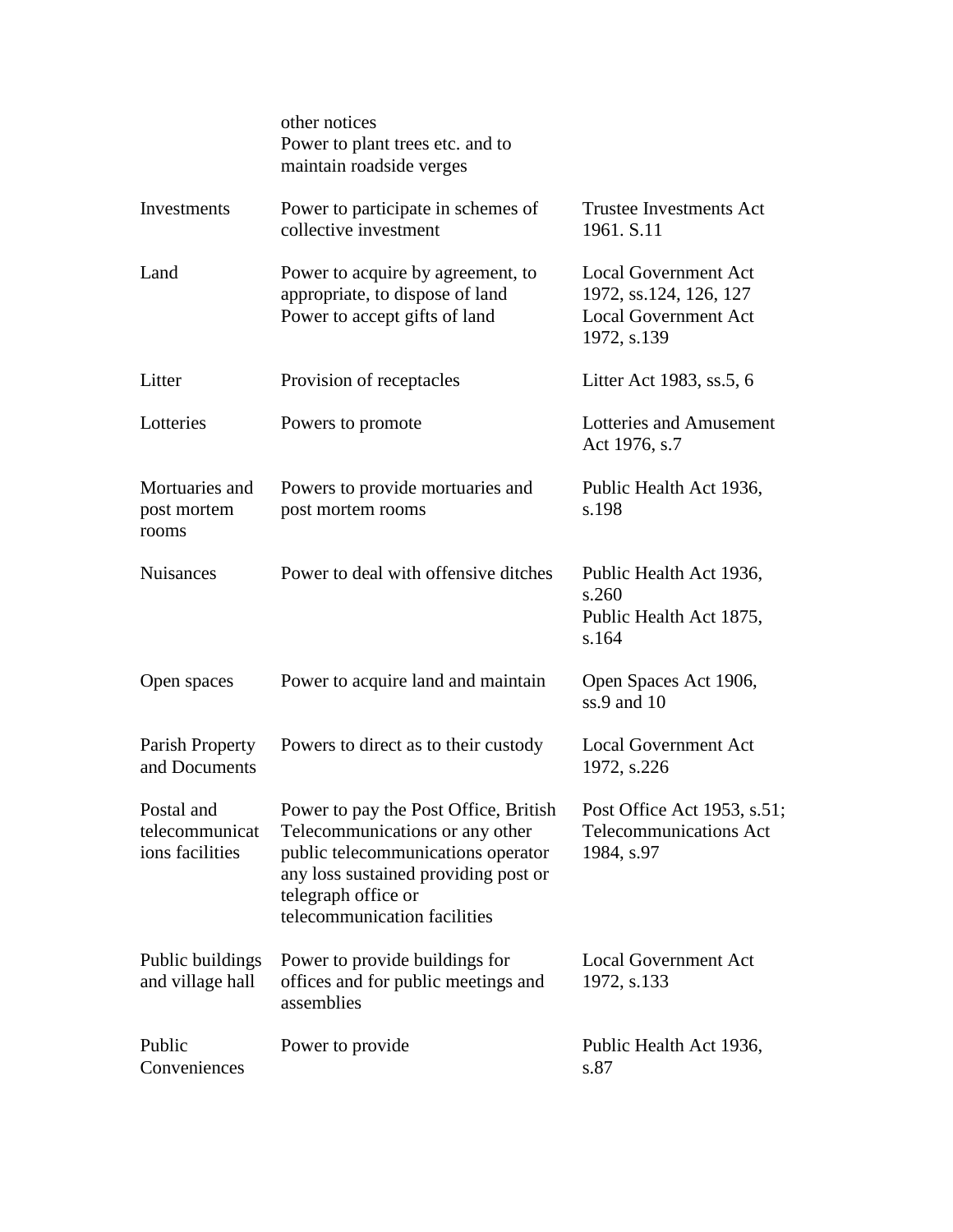|                                                 | other notices<br>Power to plant trees etc. and to<br>maintain roadside verges                                                                                                                                 |                                                                                                     |
|-------------------------------------------------|---------------------------------------------------------------------------------------------------------------------------------------------------------------------------------------------------------------|-----------------------------------------------------------------------------------------------------|
| Investments                                     | Power to participate in schemes of<br>collective investment                                                                                                                                                   | <b>Trustee Investments Act</b><br>1961. S.11                                                        |
| Land                                            | Power to acquire by agreement, to<br>appropriate, to dispose of land<br>Power to accept gifts of land                                                                                                         | <b>Local Government Act</b><br>1972, ss.124, 126, 127<br><b>Local Government Act</b><br>1972, s.139 |
| Litter                                          | Provision of receptacles                                                                                                                                                                                      | Litter Act 1983, ss.5, 6                                                                            |
| Lotteries                                       | Powers to promote                                                                                                                                                                                             | Lotteries and Amusement<br>Act 1976, s.7                                                            |
| Mortuaries and<br>post mortem<br>rooms          | Powers to provide mortuaries and<br>post mortem rooms                                                                                                                                                         | Public Health Act 1936,<br>s.198                                                                    |
| <b>Nuisances</b>                                | Power to deal with offensive ditches                                                                                                                                                                          | Public Health Act 1936,<br>s.260<br>Public Health Act 1875,<br>s.164                                |
| Open spaces                                     | Power to acquire land and maintain                                                                                                                                                                            | Open Spaces Act 1906,<br>ss.9 and 10                                                                |
| Parish Property<br>and Documents                | Powers to direct as to their custody                                                                                                                                                                          | <b>Local Government Act</b><br>1972, s.226                                                          |
| Postal and<br>telecommunicat<br>ions facilities | Power to pay the Post Office, British<br>Telecommunications or any other<br>public telecommunications operator<br>any loss sustained providing post or<br>telegraph office or<br>telecommunication facilities | Post Office Act 1953, s.51;<br><b>Telecommunications Act</b><br>1984, s.97                          |
| Public buildings<br>and village hall            | Power to provide buildings for<br>offices and for public meetings and<br>assemblies                                                                                                                           | <b>Local Government Act</b><br>1972, s.133                                                          |
| Public<br>Conveniences                          | Power to provide                                                                                                                                                                                              | Public Health Act 1936,<br>s.87                                                                     |